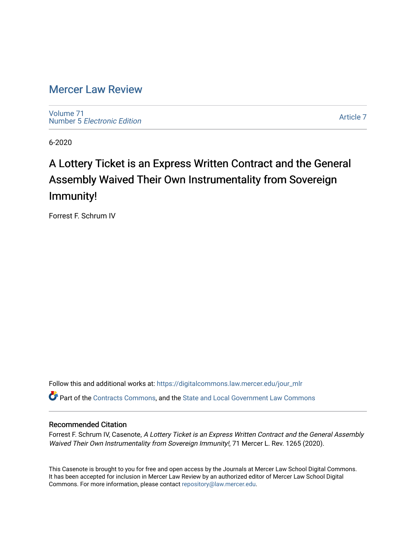# [Mercer Law Review](https://digitalcommons.law.mercer.edu/jour_mlr)

[Volume 71](https://digitalcommons.law.mercer.edu/jour_mlr/vol71) Number 5 [Electronic Edition](https://digitalcommons.law.mercer.edu/jour_mlr/vol71/iss5) 

[Article 7](https://digitalcommons.law.mercer.edu/jour_mlr/vol71/iss5/7) 

6-2020

# A Lottery Ticket is an Express Written Contract and the General Assembly Waived Their Own Instrumentality from Sovereign Immunity!

Forrest F. Schrum IV

Follow this and additional works at: [https://digitalcommons.law.mercer.edu/jour\\_mlr](https://digitalcommons.law.mercer.edu/jour_mlr?utm_source=digitalcommons.law.mercer.edu%2Fjour_mlr%2Fvol71%2Fiss5%2F7&utm_medium=PDF&utm_campaign=PDFCoverPages)

Part of the [Contracts Commons](http://network.bepress.com/hgg/discipline/591?utm_source=digitalcommons.law.mercer.edu%2Fjour_mlr%2Fvol71%2Fiss5%2F7&utm_medium=PDF&utm_campaign=PDFCoverPages), and the [State and Local Government Law Commons](http://network.bepress.com/hgg/discipline/879?utm_source=digitalcommons.law.mercer.edu%2Fjour_mlr%2Fvol71%2Fiss5%2F7&utm_medium=PDF&utm_campaign=PDFCoverPages)

# Recommended Citation

Forrest F. Schrum IV, Casenote, A Lottery Ticket is an Express Written Contract and the General Assembly Waived Their Own Instrumentality from Sovereign Immunity!, 71 Mercer L. Rev. 1265 (2020).

This Casenote is brought to you for free and open access by the Journals at Mercer Law School Digital Commons. It has been accepted for inclusion in Mercer Law Review by an authorized editor of Mercer Law School Digital Commons. For more information, please contact [repository@law.mercer.edu.](mailto:repository@law.mercer.edu)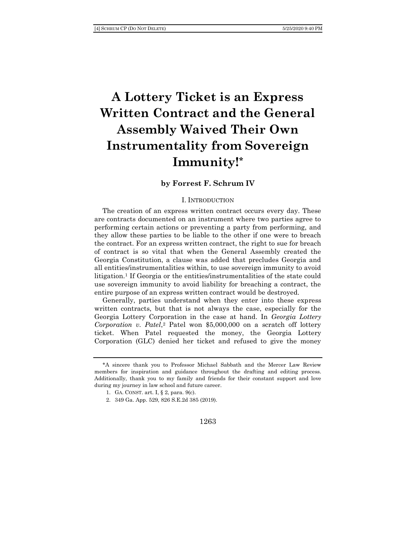# **A Lottery Ticket is an Express Written Contract and the General Assembly Waived Their Own Instrumentality from Sovereign Immunity!\***

# **by Forrest F. Schrum IV**

#### I. INTRODUCTION

The creation of an express written contract occurs every day. These are contracts documented on an instrument where two parties agree to performing certain actions or preventing a party from performing, and they allow these parties to be liable to the other if one were to breach the contract. For an express written contract, the right to sue for breach of contract is so vital that when the General Assembly created the Georgia Constitution, a clause was added that precludes Georgia and all entities/instrumentalities within, to use sovereign immunity to avoid litigation.<sup>1</sup> If Georgia or the entities/instrumentalities of the state could use sovereign immunity to avoid liability for breaching a contract, the entire purpose of an express written contract would be destroyed.

Generally, parties understand when they enter into these express written contracts, but that is not always the case, especially for the Georgia Lottery Corporation in the case at hand. In *Georgia Lottery Corporation v. Patel*, <sup>2</sup> Patel won \$5,000,000 on a scratch off lottery ticket. When Patel requested the money, the Georgia Lottery Corporation (GLC) denied her ticket and refused to give the money

- 1. GA. CONST. art. I, § 2, para. 9(c).
- 2. 349 Ga. App. 529, 826 S.E.2d 385 (2019).

<sup>\*</sup>A sincere thank you to Professor Michael Sabbath and the Mercer Law Review members for inspiration and guidance throughout the drafting and editing process. Additionally, thank you to my family and friends for their constant support and love during my journey in law school and future career.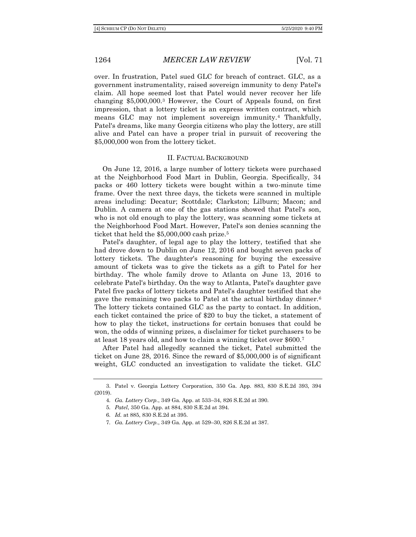over. In frustration, Patel sued GLC for breach of contract. GLC, as a government instrumentality, raised sovereign immunity to deny Patel's claim. All hope seemed lost that Patel would never recover her life changing \$5,000,000.<sup>3</sup> However, the Court of Appeals found, on first impression, that a lottery ticket is an express written contract, which means GLC may not implement sovereign immunity.<sup>4</sup> Thankfully, Patel's dreams, like many Georgia citizens who play the lottery, are still alive and Patel can have a proper trial in pursuit of recovering the \$5,000,000 won from the lottery ticket.

# II. FACTUAL BACKGROUND

On June 12, 2016, a large number of lottery tickets were purchased at the Neighborhood Food Mart in Dublin, Georgia. Specifically, 34 packs or 460 lottery tickets were bought within a two-minute time frame. Over the next three days, the tickets were scanned in multiple areas including: Decatur; Scottdale; Clarkston; Lilburn; Macon; and Dublin. A camera at one of the gas stations showed that Patel's son, who is not old enough to play the lottery, was scanning some tickets at the Neighborhood Food Mart. However, Patel's son denies scanning the ticket that held the \$5,000,000 cash prize.<sup>5</sup>

Patel's daughter, of legal age to play the lottery, testified that she had drove down to Dublin on June 12, 2016 and bought seven packs of lottery tickets. The daughter's reasoning for buying the excessive amount of tickets was to give the tickets as a gift to Patel for her birthday. The whole family drove to Atlanta on June 13, 2016 to celebrate Patel's birthday. On the way to Atlanta, Patel's daughter gave Patel five packs of lottery tickets and Patel's daughter testified that she gave the remaining two packs to Patel at the actual birthday dinner.<sup>6</sup> The lottery tickets contained GLC as the party to contact. In addition, each ticket contained the price of \$20 to buy the ticket, a statement of how to play the ticket, instructions for certain bonuses that could be won, the odds of winning prizes, a disclaimer for ticket purchasers to be at least 18 years old, and how to claim a winning ticket over \$600.<sup>7</sup>

After Patel had allegedly scanned the ticket, Patel submitted the ticket on June 28, 2016. Since the reward of \$5,000,000 is of significant weight, GLC conducted an investigation to validate the ticket. GLC

<sup>3.</sup> Patel v. Georgia Lottery Corporation, 350 Ga. App. 883, 830 S.E.2d 393, 394 (2019).

<sup>4</sup>*. Ga. Lottery Corp.*, 349 Ga. App. at 533–34, 826 S.E.2d at 390.

<sup>5</sup>*. Patel*, 350 Ga. App. at 884, 830 S.E.2d at 394.

<sup>6</sup>*. Id.* at 885, 830 S.E.2d at 395.

<sup>7</sup>*. Ga. Lottery Corp.*, 349 Ga. App. at 529–30, 826 S.E.2d at 387.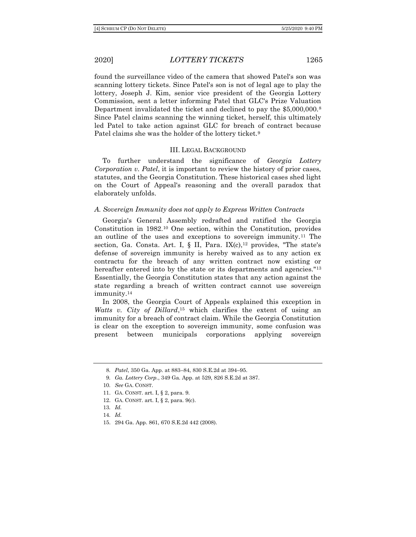found the surveillance video of the camera that showed Patel's son was scanning lottery tickets. Since Patel's son is not of legal age to play the lottery, Joseph J. Kim, senior vice president of the Georgia Lottery Commission, sent a letter informing Patel that GLC's Prize Valuation Department invalidated the ticket and declined to pay the \$5,000,000.<sup>8</sup> Since Patel claims scanning the winning ticket, herself, this ultimately led Patel to take action against GLC for breach of contract because Patel claims she was the holder of the lottery ticket.<sup>9</sup>

## III. LEGAL BACKGROUND

To further understand the significance of *Georgia Lottery Corporation v. Patel*, it is important to review the history of prior cases, statutes, and the Georgia Constitution. These historical cases shed light on the Court of Appeal's reasoning and the overall paradox that elaborately unfolds.

### *A. Sovereign Immunity does not apply to Express Written Contracts*

Georgia's General Assembly redrafted and ratified the Georgia Constitution in 1982.<sup>10</sup> One section, within the Constitution, provides an outline of the uses and exceptions to sovereign immunity.<sup>11</sup> The section, Ga. Consta. Art. I,  $\S$  II, Para. IX(c),<sup>12</sup> provides, "The state's defense of sovereign immunity is hereby waived as to any action ex contractu for the breach of any written contract now existing or hereafter entered into by the state or its departments and agencies."<sup>13</sup> Essentially, the Georgia Constitution states that any action against the state regarding a breach of written contract cannot use sovereign immunity.<sup>14</sup>

In 2008, the Georgia Court of Appeals explained this exception in *Watts v. City of Dillard*, <sup>15</sup> which clarifies the extent of using an immunity for a breach of contract claim. While the Georgia Constitution is clear on the exception to sovereign immunity, some confusion was present between municipals corporations applying sovereign

15. 294 Ga. App. 861, 670 S.E.2d 442 (2008).

<sup>8</sup>*. Patel*, 350 Ga. App. at 883–84, 830 S.E.2d at 394–95.

<sup>9</sup>*. Ga. Lottery Corp.*, 349 Ga. App. at 529, 826 S.E.2d at 387.

<sup>10</sup>*. See* GA. CONST.

<sup>11.</sup> GA. CONST. art. I, § 2, para. 9.

<sup>12.</sup> GA. CONST. art. I, § 2, para. 9(c).

<sup>13</sup>*. Id.* 

<sup>14</sup>*. Id.*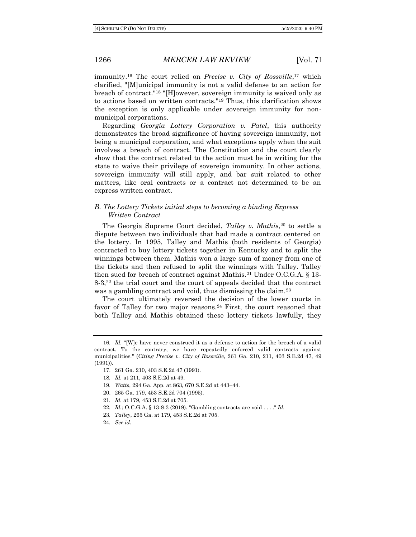immunity.<sup>16</sup> The court relied on *Precise v. City of Rossville*, <sup>17</sup> which clarified, "[M]unicipal immunity is not a valid defense to an action for breach of contract."<sup>18</sup> "[H]owever, sovereign immunity is waived only as to actions based on written contracts."<sup>19</sup> Thus, this clarification shows the exception is only applicable under sovereign immunity for nonmunicipal corporations.

Regarding *Georgia Lottery Corporation v. Patel*, this authority demonstrates the broad significance of having sovereign immunity, not being a municipal corporation, and what exceptions apply when the suit involves a breach of contract. The Constitution and the court clearly show that the contract related to the action must be in writing for the state to waive their privilege of sovereign immunity. In other actions, sovereign immunity will still apply, and bar suit related to other matters, like oral contracts or a contract not determined to be an express written contract.

# *B. The Lottery Tickets initial steps to becoming a binding Express Written Contract*

The Georgia Supreme Court decided, *Talley v. Mathis,*<sup>20</sup> to settle a dispute between two individuals that had made a contract centered on the lottery. In 1995, Talley and Mathis (both residents of Georgia) contracted to buy lottery tickets together in Kentucky and to split the winnings between them. Mathis won a large sum of money from one of the tickets and then refused to split the winnings with Talley. Talley then sued for breach of contract against Mathis.<sup>21</sup> Under O.C.G.A. § 13- 8-3,<sup>22</sup> the trial court and the court of appeals decided that the contract was a gambling contract and void, thus dismissing the claim.<sup>23</sup>

The court ultimately reversed the decision of the lower courts in favor of Talley for two major reasons.<sup>24</sup> First, the court reasoned that both Talley and Mathis obtained these lottery tickets lawfully, they

- 21*. Id.* at 179, 453 S.E.2d at 705.
- 22*. Id.*; O.C.G.A. § 13-8-3 (2019). "Gambling contracts are void . . . ." *Id.*
- 23*. Talley*, 265 Ga. at 179, 453 S.E.2d at 705.

<sup>16</sup>*. Id.* "[W]e have never construed it as a defense to action for the breach of a valid contract. To the contrary, we have repeatedly enforced valid contracts against municipalities." (*Citing Precise v. City of Rossville*, 261 Ga. 210, 211, 403 S.E.2d 47, 49 (1991)).

<sup>17.</sup> 261 Ga. 210, 403 S.E.2d 47 (1991).

<sup>18</sup>*. Id.* at 211, 403 S.E.2d at 49.

<sup>19</sup>*. Watts*, 294 Ga. App. at 863, 670 S.E.2d at 443–44.

<sup>20.</sup> 265 Ga. 179, 453 S.E.2d 704 (1995).

<sup>24</sup>*. See id.*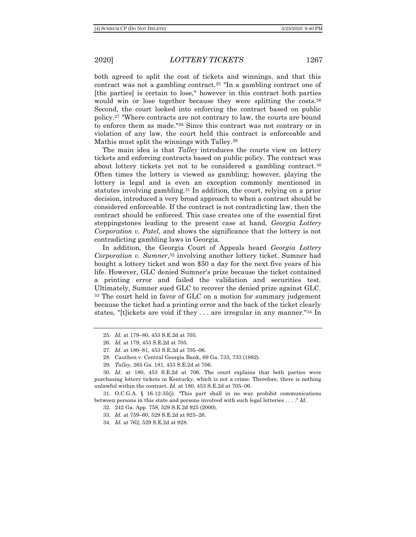both agreed to split the cost of tickets and winnings, and that this contract was not a gambling contract.<sup>25</sup> "In a gambling contract one of [the parties] is certain to lose," however in this contract both parties would win or lose together because they were splitting the costs.<sup>26</sup> Second, the court looked into enforcing the contract based on public policy.<sup>27</sup> "Where contracts are not contrary to law, the courts are bound to enforce them as made."<sup>28</sup> Since this contract was not contrary or in violation of any law, the court held this contract is enforceable and Mathis must split the winnings with Talley.<sup>29</sup>

The main idea is that *Talley* introduces the courts view on lottery tickets and enforcing contracts based on public policy. The contract was about lottery tickets yet not to be considered a gambling contract.<sup>30</sup> Often times the lottery is viewed as gambling; however, playing the lottery is legal and is even an exception commonly mentioned in statutes involving gambling.<sup>31</sup> In addition, the court, relying on a prior decision, introduced a very broad approach to when a contract should be considered enforceable. If the contract is not contradicting law, then the contract should be enforced. This case creates one of the essential first steppingstones leading to the present case at hand, *Georgia Lottery Corporation v. Patel*, and shows the significance that the lottery is not contradicting gambling laws in Georgia.

In addition, the Georgia Court of Appeals heard *Georgia Lottery Corporation v. Sumner*, <sup>32</sup> involving another lottery ticket. Sumner had bought a lottery ticket and won \$50 a day for the next five years of his life. However, GLC denied Sumner's prize because the ticket contained a printing error and failed the validation and securities test. Ultimately, Sumner sued GLC to recover the denied prize against GLC. <sup>33</sup> The court held in favor of GLC on a motion for summary judgement because the ticket had a printing error and the back of the ticket clearly states, "[t]ickets are void if they . . . are irregular in any manner."<sup>34</sup> In

29*. Talley*, 265 Ga. 181, 453 S.E.2d at 706.

31. O.C.G.A. § 16-12-35(j). "This part shall in no way prohibit communications between persons in this state and persons involved with such legal lotteries . . . ." *Id.*

- 32. 242 Ga. App. 758, 529 S.E.2d 925 (2000).
- 33*. Id.* at 759–60, 529 S.E.2d at 925–26.
- 34*. Id.* at 762, 529 S.E.2d at 928.

<sup>25</sup>*. Id.* at 179–80, 453 S.E.2d at 705.

<sup>26</sup>*. Id.* at 179, 453 S.E.2d at 705.

<sup>27</sup>*. Id.* at 180–81, 453 S.E.2d at 705–06.

<sup>28.</sup> Cauthen v. Central Georgia Bank, 69 Ga. 733, 733 (1882).

<sup>30</sup>*. Id.* at 180, 453 S.E.2d at 706. The court explains that both parties were purchasing lottery tickets in Kentucky, which is not a crime. Therefore, there is nothing unlawful within the contract. *Id.* at 180, 453 S.E.2d at 705–06.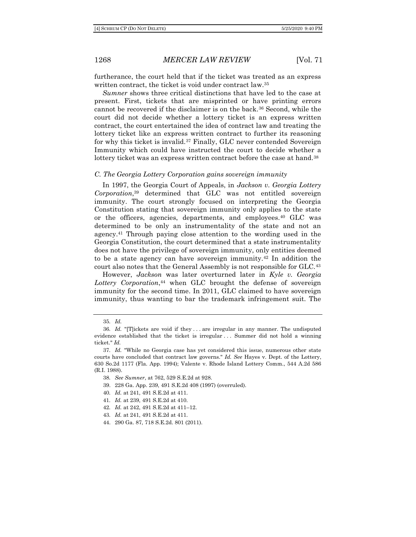furtherance, the court held that if the ticket was treated as an express written contract, the ticket is void under contract law.<sup>35</sup>

*Sumner* shows three critical distinctions that have led to the case at present. First, tickets that are misprinted or have printing errors cannot be recovered if the disclaimer is on the back.<sup>36</sup> Second, while the court did not decide whether a lottery ticket is an express written contract, the court entertained the idea of contract law and treating the lottery ticket like an express written contract to further its reasoning for why this ticket is invalid.<sup>37</sup> Finally, GLC never contended Sovereign Immunity which could have instructed the court to decide whether a lottery ticket was an express written contract before the case at hand.<sup>38</sup>

#### *C. The Georgia Lottery Corporation gains sovereign immunity*

In 1997, the Georgia Court of Appeals, in *Jackson v. Georgia Lottery Corporation*, <sup>39</sup> determined that GLC was not entitled sovereign immunity. The court strongly focused on interpreting the Georgia Constitution stating that sovereign immunity only applies to the state or the officers, agencies, departments, and employees.<sup>40</sup> GLC was determined to be only an instrumentality of the state and not an agency.<sup>41</sup> Through paying close attention to the wording used in the Georgia Constitution, the court determined that a state instrumentality does not have the privilege of sovereign immunity, only entities deemed to be a state agency can have sovereign immunity.<sup>42</sup> In addition the court also notes that the General Assembly is not responsible for GLC.<sup>43</sup>

However, *Jackson* was later overturned later in *Kyle v. Georgia Lottery Corporation*, <sup>44</sup> when GLC brought the defense of sovereign immunity for the second time. In 2011, GLC claimed to have sovereign immunity, thus wanting to bar the trademark infringement suit. The

- 39. 228 Ga. App. 239, 491 S.E.2d 408 (1997) (overruled).
- 40*. Id.* at 241, 491 S.E.2d at 411.
- 41*. Id.* at 239, 491 S.E.2d at 410.
- 42*. Id.* at 242, 491 S.E.2d at 411–12.
- 43*. Id.* at 241, 491 S.E.2d at 411.
- 44. 290 Ga. 87, 718 S.E.2d. 801 (2011).

<sup>35</sup>*. Id.*

<sup>36</sup>*. Id.* "[T]ickets are void if they . . . are irregular in any manner. The undisputed evidence established that the ticket is irregular . . . Summer did not hold a winning ticket." *Id.*

<sup>37</sup>*. Id.* "While no Georgia case has yet considered this issue, numerous other state courts have concluded that contract law governs." *Id. See* Hayes v. Dept. of the Lottery, 630 So.2d 1177 (Fla. App. 1994); Valente v. Rhode Island Lottery Comm., 544 A.2d 586 (R.I. 1988).

<sup>38</sup>*. See Sumner*, at 762, 529 S.E.2d at 928.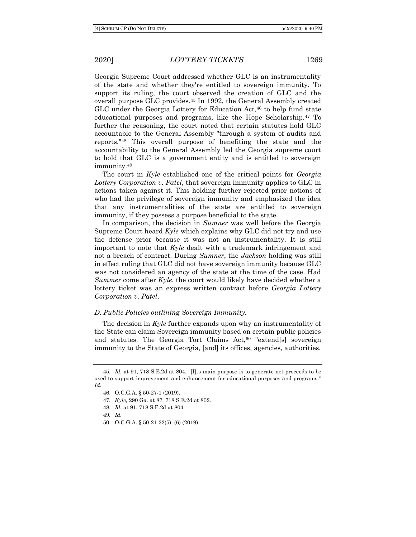Georgia Supreme Court addressed whether GLC is an instrumentality of the state and whether they're entitled to sovereign immunity. To support its ruling, the court observed the creation of GLC and the overall purpose GLC provides.<sup>45</sup> In 1992, the General Assembly created GLC under the Georgia Lottery for Education Act,<sup>46</sup> to help fund state educational purposes and programs, like the Hope Scholarship.<sup>47</sup> To further the reasoning, the court noted that certain statutes hold GLC accountable to the General Assembly "through a system of audits and reports."<sup>48</sup> This overall purpose of benefiting the state and the accountability to the General Assembly led the Georgia supreme court to hold that GLC is a government entity and is entitled to sovereign immunity.<sup>49</sup>

The court in *Kyle* established one of the critical points for *Georgia Lottery Corporation v. Patel*, that sovereign immunity applies to GLC in actions taken against it. This holding further rejected prior notions of who had the privilege of sovereign immunity and emphasized the idea that any instrumentalities of the state are entitled to sovereign immunity, if they possess a purpose beneficial to the state.

In comparison, the decision in *Sumner* was well before the Georgia Supreme Court heard *Kyle* which explains why GLC did not try and use the defense prior because it was not an instrumentality. It is still important to note that *Kyle* dealt with a trademark infringement and not a breach of contract. During *Sumner*, the *Jackson* holding was still in effect ruling that GLC did not have sovereign immunity because GLC was not considered an agency of the state at the time of the case. Had *Summer* come after *Kyle*, the court would likely have decided whether a lottery ticket was an express written contract before *Georgia Lottery Corporation v. Patel*.

#### *D. Public Policies outlining Sovereign Immunity.*

The decision in *Kyle* further expands upon why an instrumentality of the State can claim Sovereign immunity based on certain public policies and statutes. The Georgia Tort Claims Act,<sup>50</sup> "extend[s] sovereign immunity to the State of Georgia, [and] its offices, agencies, authorities,

50. O.C.G.A. § 50-21-22(5)–(6) (2019).

<sup>45</sup>*. Id.* at 91, 718 S.E.2d at 804. "[I]ts main purpose is to generate net proceeds to be used to support improvement and enhancement for educational purposes and programs." *Id.*

<sup>46.</sup> O.C.G.A. § 50-27-1 (2019).

<sup>47</sup>*. Kyle*, 290 Ga. at 87, 718 S.E.2d at 802.

<sup>48</sup>*. Id.* at 91, 718 S.E.2d at 804.

<sup>49</sup>*. Id.*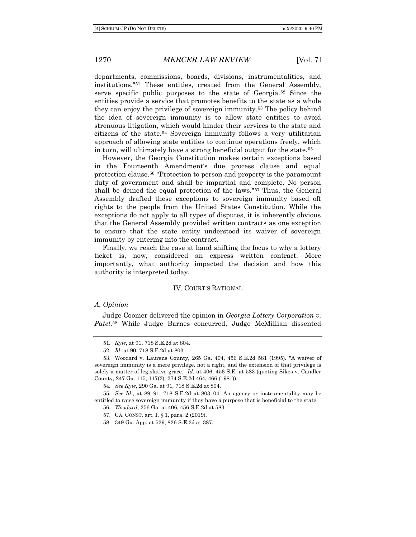departments, commissions, boards, divisions, instrumentalities, and institutions."<sup>51</sup> These entities, created from the General Assembly, serve specific public purposes to the state of Georgia.<sup>52</sup> Since the entities provide a service that promotes benefits to the state as a whole they can enjoy the privilege of sovereign immunity.<sup>53</sup> The policy behind the idea of sovereign immunity is to allow state entities to avoid strenuous litigation, which would hinder their services to the state and citizens of the state.<sup>54</sup> Sovereign immunity follows a very utilitarian approach of allowing state entities to continue operations freely, which in turn, will ultimately have a strong beneficial output for the state.<sup>55</sup>

However, the Georgia Constitution makes certain exceptions based in the Fourteenth Amendment's due process clause and equal protection clause.<sup>56</sup> "Protection to person and property is the paramount duty of government and shall be impartial and complete. No person shall be denied the equal protection of the laws."<sup>57</sup> Thus, the General Assembly drafted these exceptions to sovereign immunity based off rights to the people from the United States Constitution. While the exceptions do not apply to all types of disputes, it is inherently obvious that the General Assembly provided written contracts as one exception to ensure that the state entity understood its waiver of sovereign immunity by entering into the contract.

Finally, we reach the case at hand shifting the focus to why a lottery ticket is, now, considered an express written contract. More importantly, what authority impacted the decision and how this authority is interpreted today.

#### IV. COURT'S RATIONAL

#### *A. Opinion*

Judge Coomer delivered the opinion in *Georgia Lottery Corporation v. Patel*. <sup>58</sup> While Judge Barnes concurred, Judge McMillian dissented

54*. See Kyle*, 290 Ga. at 91, 718 S.E.2d at 804.

55*. See Id.*, at 89–91, 718 S.E.2d at 803–04. An agency or instrumentality may be entitled to raise sovereign immunity if they have a purpose that is beneficial to the state.

56*. Woodard*, 256 Ga. at 406, 456 S.E.2d at 583.

- 57. GA. CONST. art. I, § 1, para. 2 (2019).
- 58. 349 Ga. App. at 529, 826 S.E.2d at 387.

<sup>51</sup>*. Kyle*, at 91, 718 S.E.2d at 804.

<sup>52</sup>*. Id.* at 90, 718 S.E.2d at 803.

<sup>53.</sup> Woodard v. Laurens County, 265 Ga. 404, 456 S.E.2d 581 (1995). "A waiver of sovereign immunity is a mere privilege, not a right, and the extension of that privilege is solely a matter of legislative grace." *Id.* at 406, 456 S.E. at 583 (quoting Sikes v. Candler County, 247 Ga. 115, 117(2), 274 S.E.2d 464, 466 (1981)).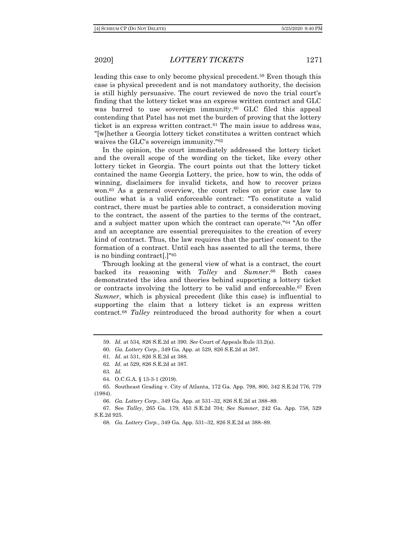leading this case to only become physical precedent.<sup>59</sup> Even though this case is physical precedent and is not mandatory authority, the decision is still highly persuasive. The court reviewed de novo the trial court's finding that the lottery ticket was an express written contract and GLC was barred to use sovereign immunity.<sup>60</sup> GLC filed this appeal contending that Patel has not met the burden of proving that the lottery ticket is an express written contract.<sup>61</sup> The main issue to address was, "[w]hether a Georgia lottery ticket constitutes a written contract which waives the GLC's sovereign immunity."<sup>62</sup>

In the opinion, the court immediately addressed the lottery ticket and the overall scope of the wording on the ticket, like every other lottery ticket in Georgia. The court points out that the lottery ticket contained the name Georgia Lottery, the price, how to win, the odds of winning, disclaimers for invalid tickets, and how to recover prizes won.<sup>63</sup> As a general overview, the court relies on prior case law to outline what is a valid enforceable contract: "To constitute a valid contract, there must be parties able to contract, a consideration moving to the contract, the assent of the parties to the terms of the contract, and a subject matter upon which the contract can operate."<sup>64</sup> "An offer and an acceptance are essential prerequisites to the creation of every kind of contract. Thus, the law requires that the parties' consent to the formation of a contract. Until each has assented to all the terms, there is no binding contract[.]"<sup>65</sup>

Through looking at the general view of what is a contract, the court backed its reasoning with *Talley* and *Sumner*. <sup>66</sup> Both cases demonstrated the idea and theories behind supporting a lottery ticket or contracts involving the lottery to be valid and enforceable.<sup>67</sup> Even *Sumner*, which is physical precedent (like this case) is influential to supporting the claim that a lottery ticket is an express written contract.<sup>68</sup> *Talley* reintroduced the broad authority for when a court

68*. Ga. Lottery Corp.*, 349 Ga. App. 531–32, 826 S.E.2d at 388–89.

<sup>59</sup>*. Id.* at 534, 826 S.E.2d at 390. *See* Court of Appeals Rule 33.2(a).

<sup>60</sup>*. Ga. Lottery Corp.*, 349 Ga. App. at 529, 826 S.E.2d at 387.

<sup>61</sup>*. Id.* at 531, 826 S.E.2d at 388.

<sup>62</sup>*. Id.* at 529, 826 S.E.2d at 387.

<sup>63</sup>*. Id.*

<sup>64.</sup> O.C.G.A. § 13-3-1 (2019).

<sup>65.</sup> Southeast Grading v. City of Atlanta, 172 Ga. App. 798, 800, 342 S.E.2d 776, 779 (1984).

<sup>66</sup>*. Ga. Lottery Corp.*, 349 Ga. App. at 531–32, 826 S.E.2d at 388–89.

<sup>67.</sup> See *Talley*, 265 Ga. 179, 453 S.E.2d 704; *See Sumner*, 242 Ga. App. 758, 529 S.E.2d 925.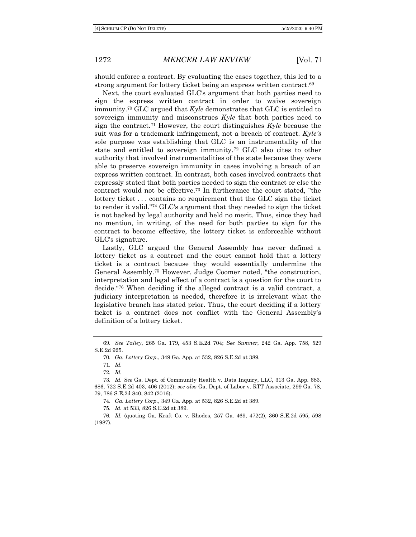should enforce a contract. By evaluating the cases together, this led to a strong argument for lottery ticket being an express written contract.<sup>69</sup>

Next, the court evaluated GLC's argument that both parties need to sign the express written contract in order to waive sovereign immunity.<sup>70</sup> GLC argued that *Kyle* demonstrates that GLC is entitled to sovereign immunity and misconstrues *Kyle* that both parties need to sign the contract.<sup>71</sup> However, the court distinguishes *Kyle* because the suit was for a trademark infringement, not a breach of contract. *Kyle's* sole purpose was establishing that GLC is an instrumentality of the state and entitled to sovereign immunity.<sup>72</sup> GLC also cites to other authority that involved instrumentalities of the state because they were able to preserve sovereign immunity in cases involving a breach of an express written contract. In contrast, both cases involved contracts that expressly stated that both parties needed to sign the contract or else the contract would not be effective.<sup>73</sup> In furtherance the court stated, "the lottery ticket . . . contains no requirement that the GLC sign the ticket to render it valid."<sup>74</sup> GLC's argument that they needed to sign the ticket is not backed by legal authority and held no merit. Thus, since they had no mention, in writing, of the need for both parties to sign for the contract to become effective, the lottery ticket is enforceable without GLC's signature.

Lastly, GLC argued the General Assembly has never defined a lottery ticket as a contract and the court cannot hold that a lottery ticket is a contract because they would essentially undermine the General Assembly.<sup>75</sup> However, Judge Coomer noted, "the construction, interpretation and legal effect of a contract is a question for the court to decide."<sup>76</sup> When deciding if the alleged contract is a valid contract, a judiciary interpretation is needed, therefore it is irrelevant what the legislative branch has stated prior. Thus, the court deciding if a lottery ticket is a contract does not conflict with the General Assembly's definition of a lottery ticket.

70*. Ga. Lottery Corp.*, 349 Ga. App. at 532, 826 S.E.2d at 389.

71*. Id.*

72*. Id.*

74*. Ga. Lottery Corp.*, 349 Ga. App. at 532, 826 S.E.2d at 389.

75*. Id.* at 533, 826 S.E.2d at 389.

<sup>69</sup>*. See Talley*, 265 Ga. 179, 453 S.E.2d 704; *See Sumner*, 242 Ga. App. 758, 529 S.E.2d 925.

<sup>73</sup>*. Id. See* Ga. Dept. of Community Health v. Data Inquiry, LLC, 313 Ga. App. 683, 686, 722 S.E.2d 403, 406 (2012); *see also* Ga. Dept. of Labor v. RTT Associate, 299 Ga. 78, 79, 786 S.E.2d 840, 842 (2016).

<sup>76</sup>*. Id.* (quoting Ga. Kraft Co. v. Rhodes, 257 Ga. 469, 472(2), 360 S.E.2d 595, 598 (1987).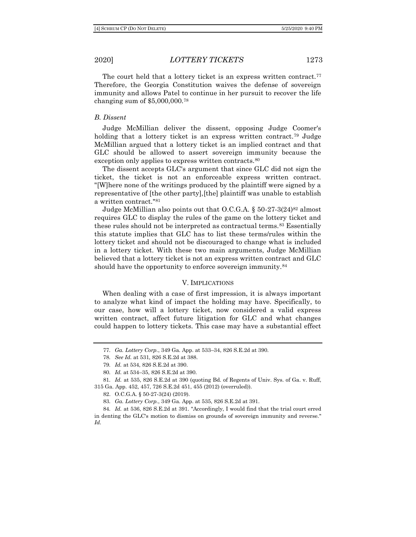The court held that a lottery ticket is an express written contract.<sup>77</sup> Therefore, the Georgia Constitution waives the defense of sovereign immunity and allows Patel to continue in her pursuit to recover the life changing sum of \$5,000,000.<sup>78</sup>

#### *B. Dissent*

Judge McMillian deliver the dissent, opposing Judge Coomer's holding that a lottery ticket is an express written contract.<sup>79</sup> Judge McMillian argued that a lottery ticket is an implied contract and that GLC should be allowed to assert sovereign immunity because the exception only applies to express written contracts.<sup>80</sup>

The dissent accepts GLC's argument that since GLC did not sign the ticket, the ticket is not an enforceable express written contract. "[W]here none of the writings produced by the plaintiff were signed by a representative of [the other party],[the] plaintiff was unable to establish a written contract."<sup>81</sup>

Judge McMillian also points out that  $O.C.G.A. \$ § 50-27-3(24)<sup>82</sup> almost requires GLC to display the rules of the game on the lottery ticket and these rules should not be interpreted as contractual terms.<sup>83</sup> Essentially this statute implies that GLC has to list these terms/rules within the lottery ticket and should not be discouraged to change what is included in a lottery ticket. With these two main arguments, Judge McMillian believed that a lottery ticket is not an express written contract and GLC should have the opportunity to enforce sovereign immunity.<sup>84</sup>

#### V. IMPLICATIONS

When dealing with a case of first impression, it is always important to analyze what kind of impact the holding may have. Specifically, to our case, how will a lottery ticket, now considered a valid express written contract, affect future litigation for GLC and what changes could happen to lottery tickets. This case may have a substantial effect

<sup>77</sup>*. Ga. Lottery Corp.*, 349 Ga. App. at 533–34, 826 S.E.2d at 390.

<sup>78</sup>*. See Id.* at 531, 826 S.E.2d at 388.

<sup>79</sup>*. Id.* at 534, 826 S.E.2d at 390.

<sup>80</sup>*. Id.* at 534–35, 826 S.E.2d at 390.

<sup>81</sup>*. Id.* at 535, 826 S.E.2d at 390 (quoting Bd. of Regents of Univ. Sys. of Ga. v. Ruff, 315 Ga. App. 452, 457, 726 S.E.2d 451, 455 (2012) (overruled)).

<sup>82.</sup> O.C.G.A. § 50-27-3(24) (2019).

<sup>83</sup>*. Ga. Lottery Corp.*, 349 Ga. App. at 535, 826 S.E.2d at 391.

<sup>84</sup>*. Id.* at 536, 826 S.E.2d at 391. "Accordingly, I would find that the trial court erred in denting the GLC's motion to dismiss on grounds of sovereign immunity and reverse." *Id.*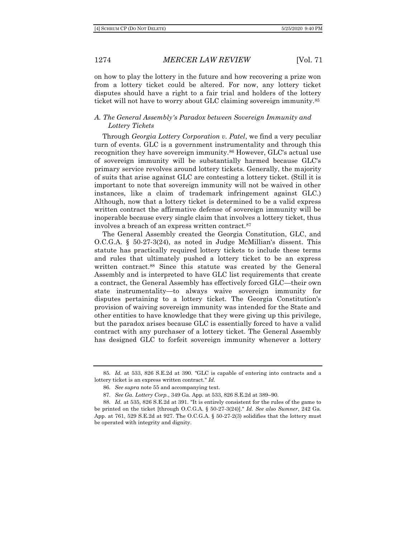on how to play the lottery in the future and how recovering a prize won from a lottery ticket could be altered. For now, any lottery ticket disputes should have a right to a fair trial and holders of the lottery ticket will not have to worry about GLC claiming sovereign immunity.<sup>85</sup>

# *A. The General Assembly's Paradox between Sovereign Immunity and Lottery Tickets*

Through *Georgia Lottery Corporation v. Patel*, we find a very peculiar turn of events. GLC is a government instrumentality and through this recognition they have sovereign immunity.<sup>86</sup> However, GLC's actual use of sovereign immunity will be substantially harmed because GLC's primary service revolves around lottery tickets. Generally, the majority of suits that arise against GLC are contesting a lottery ticket. (Still it is important to note that sovereign immunity will not be waived in other instances, like a claim of trademark infringement against GLC.) Although, now that a lottery ticket is determined to be a valid express written contract the affirmative defense of sovereign immunity will be inoperable because every single claim that involves a lottery ticket, thus involves a breach of an express written contract.<sup>87</sup>

The General Assembly created the Georgia Constitution, GLC, and O.C.G.A. § 50-27-3(24), as noted in Judge McMillian's dissent. This statute has practically required lottery tickets to include these terms and rules that ultimately pushed a lottery ticket to be an express written contract.<sup>88</sup> Since this statute was created by the General Assembly and is interpreted to have GLC list requirements that create a contract, the General Assembly has effectively forced GLC—their own state instrumentality—to always waive sovereign immunity for disputes pertaining to a lottery ticket. The Georgia Constitution's provision of waiving sovereign immunity was intended for the State and other entities to have knowledge that they were giving up this privilege, but the paradox arises because GLC is essentially forced to have a valid contract with any purchaser of a lottery ticket. The General Assembly has designed GLC to forfeit sovereign immunity whenever a lottery

<sup>85</sup>*. Id.* at 533, 826 S.E.2d at 390. "GLC is capable of entering into contracts and a lottery ticket is an express written contract." *Id.*

<sup>86</sup>*. See supra* note 55 and accompanying text.

<sup>87</sup>*. See Ga. Lottery Corp.*, 349 Ga. App. at 533, 826 S.E.2d at 389–90.

<sup>88</sup>*. Id.* at 535, 826 S.E.2d at 391. "It is entirely consistent for the rules of the game to be printed on the ticket [through O.C.G.A. § 50-27-3(24)]." *Id. See also Sumner*, 242 Ga. App. at 761, 529 S.E.2d at 927. The O.C.G.A. § 50-27-2(3) solidifies that the lottery must be operated with integrity and dignity.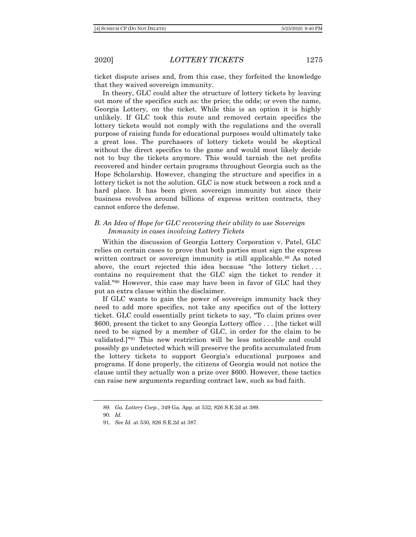ticket dispute arises and, from this case, they forfeited the knowledge that they waived sovereign immunity.

In theory, GLC could alter the structure of lottery tickets by leaving out more of the specifics such as: the price; the odds; or even the name, Georgia Lottery, on the ticket. While this is an option it is highly unlikely. If GLC took this route and removed certain specifics the lottery tickets would not comply with the regulations and the overall purpose of raising funds for educational purposes would ultimately take a great loss. The purchasers of lottery tickets would be skeptical without the direct specifics to the game and would most likely decide not to buy the tickets anymore. This would tarnish the net profits recovered and hinder certain programs throughout Georgia such as the Hope Scholarship. However, changing the structure and specifics in a lottery ticket is not the solution. GLC is now stuck between a rock and a hard place. It has been given sovereign immunity but since their business revolves around billions of express written contracts, they cannot enforce the defense.

# *B. An Idea of Hope for GLC recovering their ability to use Sovereign Immunity in cases involving Lottery Tickets*

Within the discussion of Georgia Lottery Corporation v. Patel, GLC relies on certain cases to prove that both parties must sign the express written contract or sovereign immunity is still applicable.<sup>89</sup> As noted above, the court rejected this idea because "the lottery ticket . . . contains no requirement that the GLC sign the ticket to render it valid."<sup>90</sup> However, this case may have been in favor of GLC had they put an extra clause within the disclaimer.

If GLC wants to gain the power of sovereign immunity back they need to add more specifics, not take any specifics out of the lottery ticket. GLC could essentially print tickets to say, "To claim prizes over \$600, present the ticket to any Georgia Lottery office . . . [the ticket will need to be signed by a member of GLC, in order for the claim to be validated.]"<sup>91</sup> This new restriction will be less noticeable and could possibly go undetected which will preserve the profits accumulated from the lottery tickets to support Georgia's educational purposes and programs. If done properly, the citizens of Georgia would not notice the clause until they actually won a prize over \$600. However, these tactics can raise new arguments regarding contract law, such as bad faith.

<sup>89</sup>*. Ga. Lottery Corp.*, 349 Ga. App. at 532, 826 S.E.2d at 389.

<sup>90</sup>*. Id.* 

<sup>91</sup>*. See Id.* at 530, 826 S.E.2d at 387.